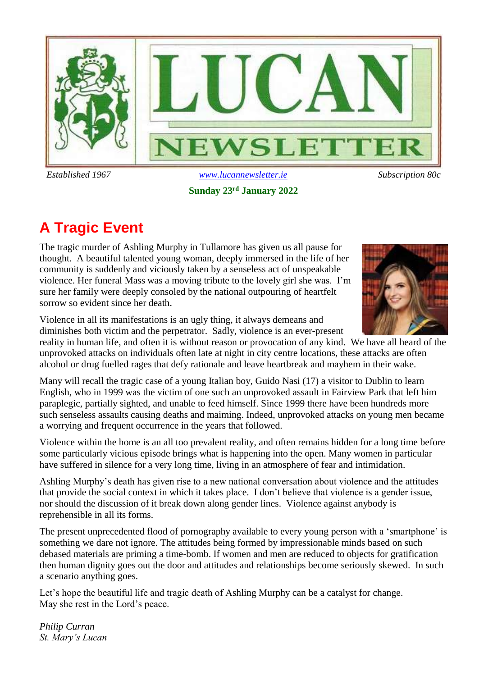

**Sunday 23rd January 2022**

# **A Tragic Event**

The tragic murder of Ashling Murphy in Tullamore has given us all pause for thought. A beautiful talented young woman, deeply immersed in the life of her community is suddenly and viciously taken by a senseless act of unspeakable violence. Her funeral Mass was a moving tribute to the lovely girl she was. I'm sure her family were deeply consoled by the national outpouring of heartfelt sorrow so evident since her death.

Violence in all its manifestations is an ugly thing, it always demeans and diminishes both victim and the perpetrator. Sadly, violence is an ever-present

reality in human life, and often it is without reason or provocation of any kind. We have all heard of the unprovoked attacks on individuals often late at night in city centre locations, these attacks are often alcohol or drug fuelled rages that defy rationale and leave heartbreak and mayhem in their wake.

Many will recall the tragic case of a young Italian boy, Guido Nasi (17) a visitor to Dublin to learn English, who in 1999 was the victim of one such an unprovoked assault in Fairview Park that left him paraplegic, partially sighted, and unable to feed himself. Since 1999 there have been hundreds more such senseless assaults causing deaths and maiming. Indeed, unprovoked attacks on young men became a worrying and frequent occurrence in the years that followed.

Violence within the home is an all too prevalent reality, and often remains hidden for a long time before some particularly vicious episode brings what is happening into the open. Many women in particular have suffered in silence for a very long time, living in an atmosphere of fear and intimidation.

Ashling Murphy's death has given rise to a new national conversation about violence and the attitudes that provide the social context in which it takes place. I don't believe that violence is a gender issue, nor should the discussion of it break down along gender lines. Violence against anybody is reprehensible in all its forms.

The present unprecedented flood of pornography available to every young person with a 'smartphone' is something we dare not ignore. The attitudes being formed by impressionable minds based on such debased materials are priming a time-bomb. If women and men are reduced to objects for gratification then human dignity goes out the door and attitudes and relationships become seriously skewed. In such a scenario anything goes.

Let's hope the beautiful life and tragic death of Ashling Murphy can be a catalyst for change. May she rest in the Lord's peace.

*Philip Curran St. Mary's Lucan*

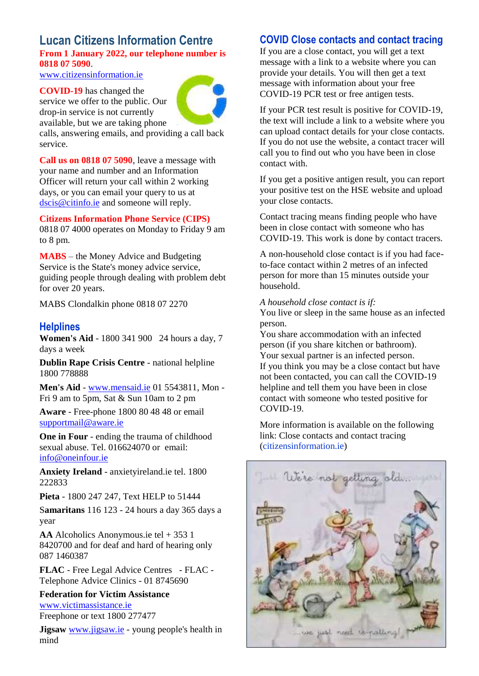### **Lucan Citizens Information Centre From 1 January 2022, our telephone number is 0818 07 5090**.

[www.citizensinformation.ie](http://www.citizensinformation.ie/)

**COVID-19** has changed the service we offer to the public. Our drop-in service is not currently available, but we are taking phone



calls, answering emails, and providing a call back service.

**Call us on 0818 07 5090**, leave a message with your name and number and an Information Officer will return your call within 2 working days, or you can email your query to us at [dscis@citinfo.ie](mailto:dscis@citinfo.ie) and someone will reply.

**Citizens Information Phone Service (CIPS)**

0818 07 4000 operates on Monday to Friday 9 am to 8 pm.

**MABS** – the Money Advice and Budgeting Service is the State's money advice service, guiding people through dealing with problem debt for over 20 years.

MABS Clondalkin phone 0818 07 2270

### **Helplines**

**Women's Aid** - 1800 341 900 24 hours a day, 7 days a week

**Dublin Rape Crisis Centre** - national helpline 1800 778888

**Men's Aid** - [www.mensaid.ie](http://www.mensaid.ie/) 01 5543811, Mon - Fri 9 am to 5pm, Sat & Sun 10am to 2 pm

**Aware** - Free-phone 1800 80 48 48 or email [supportmail@aware.ie](mailto:supportmail@aware.ie)

**One in Four** - ending the trauma of childhood sexual abuse. Tel. 016624070 or email: [info@oneinfour.ie](mailto:info@oneinfour.ie)

**Anxiety Ireland** - anxietyireland.ie tel. 1800 222833

**Pieta** - 1800 247 247, Text HELP to 51444

S**amaritans** 116 123 - 24 hours a day 365 days a year

**AA** Alcoholics Anonymous.ie tel + 353 1 8420700 and for deaf and hard of hearing only 087 1460387

**FLAC** - Free Legal Advice Centres - FLAC - Telephone Advice Clinics - 01 8745690

**Federation for Victim Assistance** [www.victimassistance.ie](http://www.victimassistance.ie/) Freephone or text 1800 277477

**Jigsaw** [www.jigsaw.ie](http://www.jigsaw.ie/) - young people's health in mind

### **COVID Close contacts and contact tracing**

If you are a close contact, you will get a text message with a link to a website where you can provide your details. You will then get a text message with information about your free COVID-19 PCR test or free antigen tests.

If your PCR test result is positive for COVID-19, the text will include a link to a website where you can upload contact details for your close contacts. If you do not use the website, a contact tracer will call you to find out who you have been in close contact with.

If you get a positive antigen result, you can report your positive test on the HSE website and upload your close contacts.

Contact tracing means finding people who have been in close contact with someone who has COVID-19. This work is done by contact tracers.

A non-household close contact is if you had faceto-face contact within 2 metres of an infected person for more than 15 minutes outside your household.

*A household close contact is if:*

You live or sleep in the same house as an infected person.

You share accommodation with an infected person (if you share kitchen or bathroom). Your sexual partner is an infected person. If you think you may be a close contact but have not been contacted, you can call the COVID-19 helpline and tell them you have been in close contact with someone who tested positive for COVID-19.

More information is available on the following link: Close contacts and contact tracing (citizensinformation.ie)

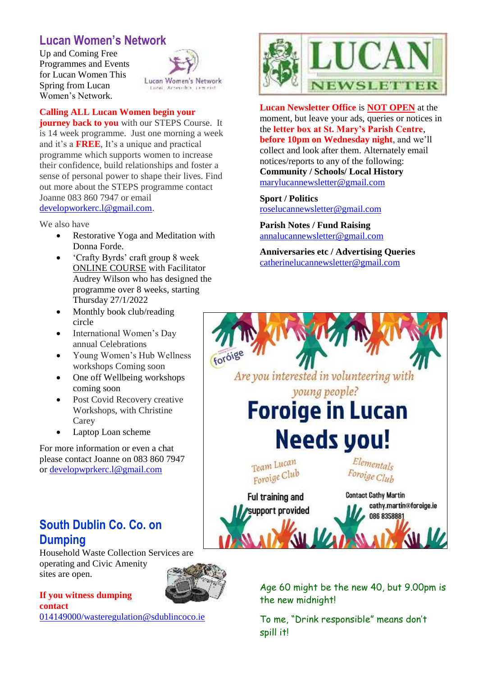### **Lucan Women's Network**

Up and Coming Free Programmes and Events for Lucan Women This Spring from Lucan Women's Network.



#### **Calling ALL Lucan Women begin your**

**journey back to you** with our STEPS Course. It is 14 week programme. Just one morning a week and it's a **FREE**, It's a unique and practical programme which supports women to increase their confidence, build relationships and foster a sense of personal power to shape their lives. Find out more about the STEPS programme contact Joanne 083 860 7947 or email [developworkerc.l@gmail.com.](mailto:developworkerc.l@gmail.com)

#### We also have

- Restorative Yoga and Meditation with Donna Forde.
- 'Crafty Byrds' craft group 8 week ONLINE COURSE with Facilitator Audrey Wilson who has designed the programme over 8 weeks, starting Thursday 27/1/2022
- Monthly book club/reading circle
- International Women's Day annual Celebrations
- Young Women's Hub Wellness workshops Coming soon
- One off Wellbeing workshops coming soon
- Post Covid Recovery creative Workshops, with Christine Carey
- Laptop Loan scheme

For more information or even a chat please contact Joanne on 083 860 7947 or [developwprkerc.l@gmail.com](mailto:developwprkerc.l@gmail.com)

### **South Dublin Co. Co. on Dumping**

Household Waste Collection Services are operating and Civic Amenity sites are open.

### **If you witness dumping contact**

[014149000/wasteregulation@sdublincoco.ie](mailto:014149000/wasteregulation@sdublincoco.ie)



**Lucan Newsletter Office** is **NOT OPEN** at the moment, but leave your ads, queries or notices in the **letter box at St. Mary's Parish Centre**, **before 10pm on Wednesday night**, and we'll collect and look after them. Alternately email notices/reports to any of the following: **Community / Schools/ Local History**  [marylucannewsletter@gmail.com](mailto:marylucannewsletter@gmail.com) 

**Sport / Politics** [roselucannewsletter@gmail.com](mailto:roselucannewsletter@gmail.com)

**Parish Notes / Fund Raising** [annalucannewsletter@gmail.com](mailto:annalucannewsletter@gmail.com)

**Anniversaries etc / Advertising Queries**  [catherinelucannewsletter@gmail.com](mailto:catherinelucannewsletter@gmail.com)



Age 60 might be the new 40, but 9.00pm is the new midnight!

To me, "Drink responsible" means don't spill it!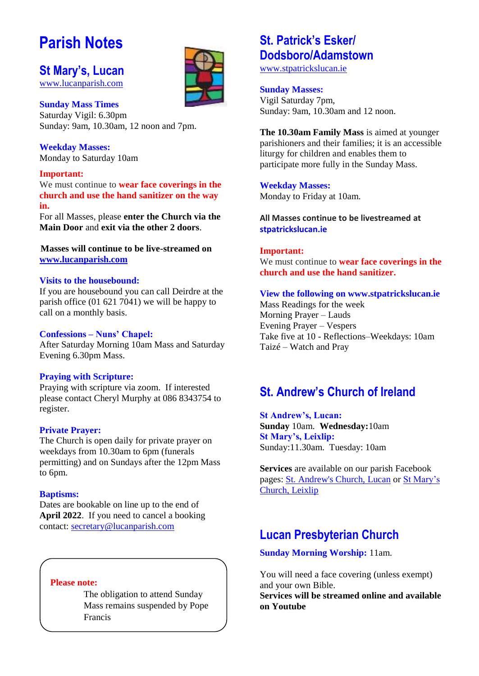# **Parish Notes**

### **St Mary's, Lucan**

[www.lucanparish.com](http://www.lucanparish.com/)

**Sunday Mass Times**  Saturday Vigil: 6.30pm Sunday: 9am, 10.30am, 12 noon and 7pm.

**Weekday Masses:** Monday to Saturday 10am

### **Important:**

We must continue to **wear face coverings in the church and use the hand sanitizer on the way in.**

For all Masses, please **enter the Church via the Main Door** and **exit via the other 2 doors**.

**Masses will continue to be live-streamed on [www.lucanparish.com](http://www.lucanparish.com/)**

### **Visits to the housebound:**

If you are housebound you can call Deirdre at the parish office (01 621 7041) we will be happy to call on a monthly basis.

### **Confessions – Nuns' Chapel:**

After Saturday Morning 10am Mass and Saturday Evening 6.30pm Mass.

### **Praying with Scripture:**

Praying with scripture via zoom. If interested please contact Cheryl Murphy at 086 8343754 to register.

### **Private Prayer:**

The Church is open daily for private prayer on weekdays from 10.30am to 6pm (funerals permitting) and on Sundays after the 12pm Mass to 6pm.

### **Baptisms:**

Dates are bookable on line up to the end of **April 2022**. If you need to cancel a booking contact: [secretary@lucanparish.com](mailto:secretary@lucanparish.com?subject=Cancellation%20of%20Baptism%20Booking&body=Dear%20Secretary%2C%0AI%20wish%20to%20cancel%20the%20booking%20made%20for%20baby%3A%0Aon%20date%3A%0AThank%20You)

### **Please note:**

The obligation to attend Sunday Mass remains suspended by Pope Francis

### **St. Patrick's Esker/ Dodsboro/Adamstown**

[www.stpatrickslucan.ie](http://www.stpatrickslucan.ie/)

### **Sunday Masses:**

Vigil Saturday 7pm, Sunday: 9am, 10.30am and 12 noon.

**The 10.30am Family Mass** is aimed at younger parishioners and their families; it is an accessible liturgy for children and enables them to participate more fully in the Sunday Mass.

**Weekday Masses:** Monday to Friday at 10am.

**All Masses continue to be livestreamed at stpatrickslucan.ie**

### **Important:**

We must continue to **wear face coverings in the church and use the hand sanitizer.** 

### **View the following on www.stpatrickslucan.ie**

Mass Readings for the week Morning Prayer – Lauds Evening Prayer – Vespers Take five at 10 - Reflections–Weekdays: 10am Taizé – Watch and Pray

### **St. Andrew's Church of Ireland**

**St Andrew's, Lucan: Sunday** 10am. **Wednesday:**10am **St Mary's, Leixlip:**  Sunday:11.30am. Tuesday: 10am

**Services** are available on our parish Facebook pages: [St. Andrew's Church, Lucan](https://www.facebook.com/standrewslucan/) or [St Mary's](https://www.facebook.com/stmarysleixlip/)  [Church, Leixlip](https://www.facebook.com/stmarysleixlip/)

### **Lucan Presbyterian Church**

**Sunday Morning Worship:** 11am.

You will need a face covering (unless exempt) and your own Bible.

**Services will be streamed online and available on Youtube**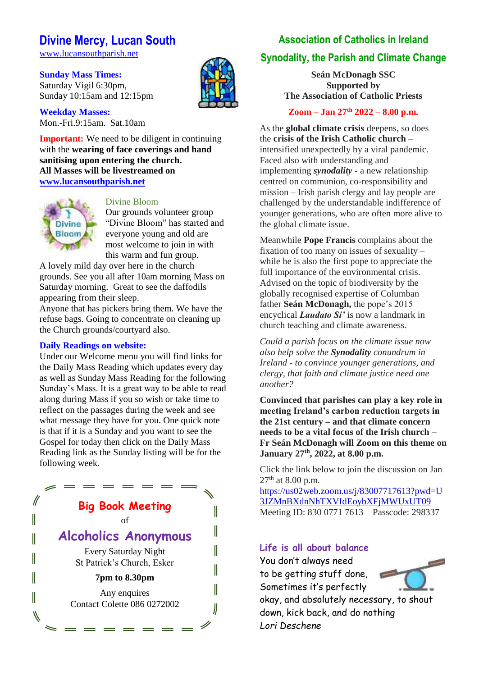### **Divine Mercy, Lucan South**

[www.lucansouthparish.net](http://www.lucansouthparish.net/)

**Sunday Mass Times:** Saturday Vigil 6:30pm, Sunday 10:15am and 12:15pm

**Weekday Masses:** Mon.-Fri.9:15am. Sat.10am

**Important:** We need to be diligent in continuing with the **wearing of face coverings and hand sanitising upon entering the church. All Masses will be livestreamed on [www.lucansouthparish.net](http://www.lucansouthparish.net/)**



#### Divine Bloom

Our grounds volunteer group "Divine Bloom" has started and everyone young and old are most welcome to join in with this warm and fun group.

A lovely mild day over here in the church grounds. See you all after 10am morning Mass on Saturday morning. Great to see the daffodils appearing from their sleep.

Anyone that has pickers bring them. We have the refuse bags. Going to concentrate on cleaning up the Church grounds/courtyard also.

#### **Daily Readings on website:**

Under our Welcome menu you will find links for the Daily Mass Reading which updates every day as well as Sunday Mass Reading for the following Sunday's Mass. It is a great way to be able to read along during Mass if you so wish or take time to reflect on the passages during the week and see what message they have for you. One quick note is that if it is a Sunday and you want to see the Gospel for today then click on the Daily Mass Reading link as the Sunday listing will be for the following week.



### **Association of Catholics in Ireland Synodality, the Parish and Climate Change**

**Seán McDonagh SSC Supported by The Association of Catholic Priests**

**Zoom – Jan 27th 2022 – 8.00 p.m.**

As the **global climate crisis** deepens, so does the **crisis of the Irish Catholic church** – intensified unexpectedly by a viral pandemic. Faced also with understanding and implementing *synodality* - a new relationship centred on communion, co-responsibility and mission – Irish parish clergy and lay people are challenged by the understandable indifference of younger generations, who are often more alive to the global climate issue.

Meanwhile **Pope Francis** complains about the fixation of too many on issues of sexuality – while he is also the first pope to appreciate the full importance of the environmental crisis. Advised on the topic of biodiversity by the globally recognised expertise of Columban father **Seán McDonagh,** the pope's 2015 encyclical *Laudato Si'* is now a landmark in church teaching and climate awareness.

*Could a parish focus on the climate issue now also help solve the Synodality conundrum in Ireland - to convince younger generations, and clergy, that faith and climate justice need one another?*

**Convinced that parishes can play a key role in meeting Ireland's carbon reduction targets in the 21st century – and that climate concern needs to be a vital focus of the Irish church – Fr Seán McDonagh will Zoom on this theme on January 27th, 2022, at 8.00 p.m.**

Click the link below to join the discussion on Jan  $27<sup>th</sup>$  at 8.00 p.m.

[https://us02web.zoom.us/j/83007717613?pwd=U](https://acireland.us12.list-manage.com/track/click?u=8f793c1f3d655f0022c2f38ca&id=edcd9ebf7f&e=bcd0fe450d) [3JZMnBXdnNhTXVIdEoybXFjMWUxUT09](https://acireland.us12.list-manage.com/track/click?u=8f793c1f3d655f0022c2f38ca&id=edcd9ebf7f&e=bcd0fe450d) Meeting ID: 830 0771 7613 Passcode: 298337

### **Life is all about balance**

You don't always need to be getting stuff done, Sometimes it's perfectly okay, and absolutely necessary, to shout down, kick back, and do nothing *Lori Deschene*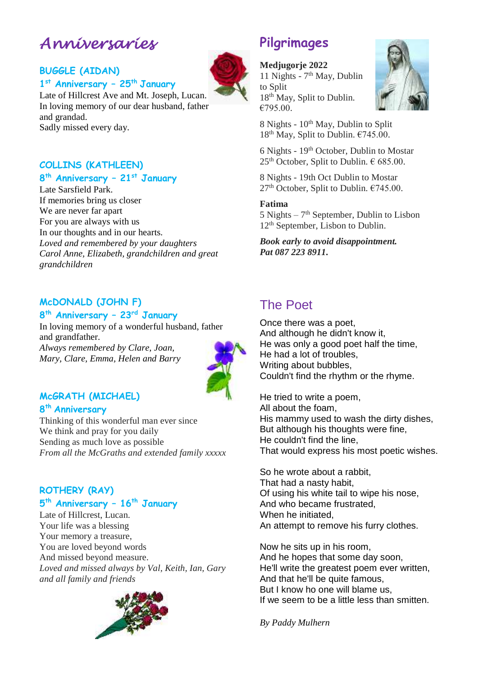# *Anniversaries*

### **BUGGLE (AIDAN) 1 st Anniversary – 25th January**



Late of Hillcrest Ave and Mt. Joseph, Lucan. In loving memory of our dear husband, father and grandad. Sadly missed every day.

### **COLLINS (KATHLEEN)**

### **8 th Anniversary – 21st January**

Late Sarsfield Park. If memories bring us closer We are never far apart For you are always with us In our thoughts and in our hearts. *Loved and remembered by your daughters Carol Anne, Elizabeth, grandchildren and great grandchildren*

### **McDONALD (JOHN F) 8 th Anniversary – 23rd January**

In loving memory of a wonderful husband, father and grandfather. *Always remembered by Clare, Joan, Mary, Clare, Emma, Helen and Barry*



### **McGRATH (MICHAEL)**

### **8 th Anniversary**

Thinking of this wonderful man ever since We think and pray for you daily Sending as much love as possible *From all the McGraths and extended family xxxxx*

### **ROTHERY (RAY) 5 th Anniversary – 16th January**

Late of Hillcrest, Lucan. Your life was a blessing Your memory a treasure, You are loved beyond words And missed beyond measure. *Loved and missed always by Val, Keith, Ian, Gary and all family and friends*



## **Pilgrimages**

### **Medjugorje 2022**

11 Nights - 7<sup>th</sup> May, Dublin to Split 18<sup>th</sup> May, Split to Dublin.  $€795.00.$ 



8 Nights - 10<sup>th</sup> May, Dublin to Split  $18<sup>th</sup>$  May, Split to Dublin.  $€745.00$ .

6 Nights - 19th October, Dublin to Mostar  $25<sup>th</sup>$  October, Split to Dublin.  $\in$  685.00.

8 Nights - 19th Oct Dublin to Mostar  $27<sup>th</sup>$  October, Split to Dublin.  $€745.00$ .

### **Fatima**

5 Nights – 7 th September, Dublin to Lisbon 12<sup>th</sup> September, Lisbon to Dublin.

*Book early to avoid disappointment. Pat 087 223 8911.*

### The Poet

Once there was a poet, And although he didn't know it, He was only a good poet half the time, He had a lot of troubles, Writing about bubbles, Couldn't find the rhythm or the rhyme.

He tried to write a poem, All about the foam, His mammy used to wash the dirty dishes, But although his thoughts were fine, He couldn't find the line, That would express his most poetic wishes.

So he wrote about a rabbit, That had a nasty habit, Of using his white tail to wipe his nose, And who became frustrated, When he initiated, An attempt to remove his furry clothes.

Now he sits up in his room, And he hopes that some day soon, He'll write the greatest poem ever written, And that he'll be quite famous, But I know ho one will blame us, If we seem to be a little less than smitten.

*By Paddy Mulhern*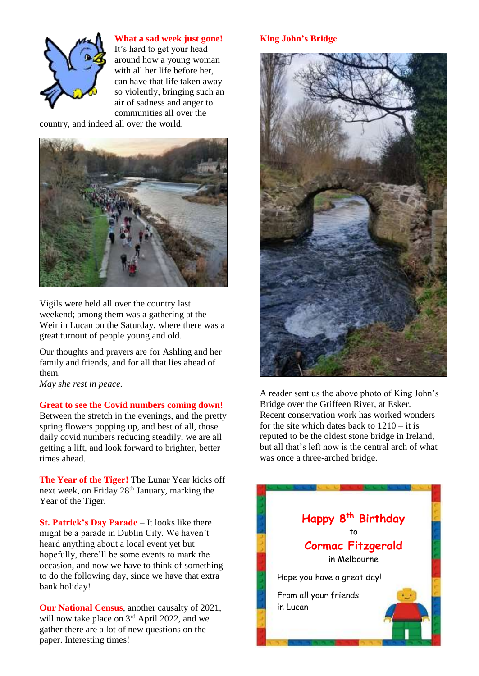

**What a sad week just gone!**

It's hard to get your head around how a young woman with all her life before her, can have that life taken away so violently, bringing such an air of sadness and anger to communities all over the

country, and indeed all over the world.



Vigils were held all over the country last weekend; among them was a gathering at the Weir in Lucan on the Saturday, where there was a great turnout of people young and old.

Our thoughts and prayers are for Ashling and her family and friends, and for all that lies ahead of them.

*May she rest in peace.* 

**Great to see the Covid numbers coming down!**

Between the stretch in the evenings, and the pretty spring flowers popping up, and best of all, those daily covid numbers reducing steadily, we are all getting a lift, and look forward to brighter, better times ahead.

**The Year of the Tiger!** The Lunar Year kicks off next week, on Friday 28<sup>th</sup> January, marking the Year of the Tiger.

**St. Patrick's Day Parade** – It looks like there might be a parade in Dublin City. We haven't heard anything about a local event yet but hopefully, there'll be some events to mark the occasion, and now we have to think of something to do the following day, since we have that extra bank holiday!

**Our National Census**, another causalty of 2021, will now take place on  $3<sup>rd</sup>$  April 2022, and we gather there are a lot of new questions on the paper. Interesting times!

### **King John's Bridge**



A reader sent us the above photo of King John's Bridge over the Griffeen River, at Esker. Recent conservation work has worked wonders for the site which dates back to 1210 – it is reputed to be the oldest stone bridge in Ireland, but all that's left now is the central arch of what was once a three-arched bridge.

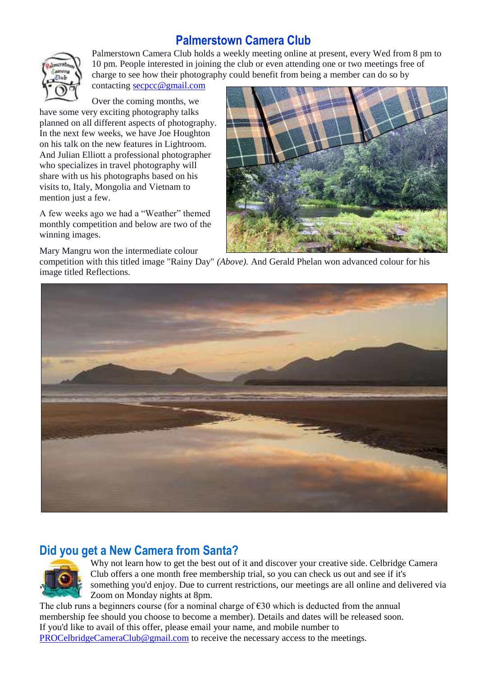### **Palmerstown Camera Club**



Palmerstown Camera Club holds a weekly meeting online at present, every Wed from 8 pm to 10 pm. People interested in joining the club or even attending one or two meetings free of charge to see how their photography could benefit from being a member can do so by

contacting [secpcc@gmail.com](mailto:secpcc@gmail.com)

Over the coming months, we have some very exciting photography talks planned on all different aspects of photography. In the next few weeks, we have Joe Houghton on his talk on the new features in Lightroom. And Julian Elliott a professional photographer who specializes in travel photography will share with us his photographs based on his visits to, Italy, Mongolia and Vietnam to mention just a few.

A few weeks ago we had a "Weather" themed monthly competition and below are two of the winning images.

Mary Mangru won the intermediate colour



competition with this titled image "Rainy Day" *(Above).* And Gerald Phelan won advanced colour for his image titled Reflections.



### **Did you get a New Camera from Santa?**



Why not learn how to get the best out of it and discover your creative side. Celbridge Camera Club offers a one month free membership trial, so you can check us out and see if it's something you'd enjoy. Due to current restrictions, our meetings are all online and delivered via Zoom on Monday nights at 8pm.

The club runs a beginners course (for a nominal charge of  $\epsilon$ 30 which is deducted from the annual membership fee should you choose to become a member). Details and dates will be released soon. If you'd like to avail of this offer, please email your name, and mobile number to [PROCelbridgeCameraClub@gmail.com](mailto:PROCelbridgeCameraClub@gmail.com) to receive the necessary access to the meetings.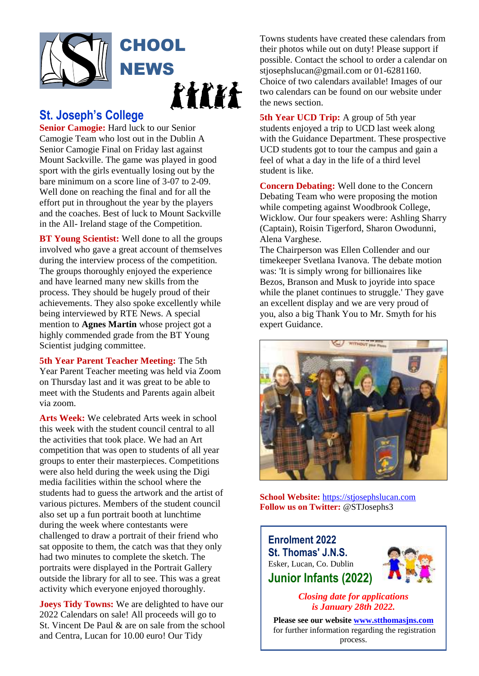

### **St. Joseph's College**

**Senior Camogie:** Hard luck to our Senior Camogie Team who lost out in the Dublin A Senior Camogie Final on Friday last against Mount Sackville. The game was played in good sport with the girls eventually losing out by the bare minimum on a score line of 3-07 to 2-09. Well done on reaching the final and for all the effort put in throughout the year by the players and the coaches. Best of luck to Mount Sackville in the All- Ireland stage of the Competition.

**BT Young Scientist:** Well done to all the groups involved who gave a great account of themselves during the interview process of the competition. The groups thoroughly enjoyed the experience and have learned many new skills from the process. They should be hugely proud of their achievements. They also spoke excellently while being interviewed by RTE News. A special mention to **Agnes Martin** whose project got a highly commended grade from the BT Young Scientist judging committee.

**5th Year Parent Teacher Meeting:** The 5th Year Parent Teacher meeting was held via Zoom on Thursday last and it was great to be able to meet with the Students and Parents again albeit via zoom.

**Arts Week:** We celebrated Arts week in school this week with the student council central to all the activities that took place. We had an Art competition that was open to students of all year groups to enter their masterpieces. Competitions were also held during the week using the Digi media facilities within the school where the students had to guess the artwork and the artist of various pictures. Members of the student council also set up a fun portrait booth at lunchtime during the week where contestants were challenged to draw a portrait of their friend who sat opposite to them, the catch was that they only had two minutes to complete the sketch. The portraits were displayed in the Portrait Gallery outside the library for all to see. This was a great activity which everyone enjoyed thoroughly.

**Joeys Tidy Towns:** We are delighted to have our 2022 Calendars on sale! All proceeds will go to St. Vincent De Paul & are on sale from the school and Centra, Lucan for 10.00 euro! Our Tidy

Towns students have created these calendars from their photos while out on duty! Please support if possible. Contact the school to order a calendar on stjosephslucan@gmail.com or 01-6281160. Choice of two calendars available! Images of our two calendars can be found on our website under the news section.

**5th Year UCD Trip:** A group of 5th year students enjoyed a trip to UCD last week along with the Guidance Department. These prospective UCD students got to tour the campus and gain a feel of what a day in the life of a third level student is like.

**Concern Debating:** Well done to the Concern Debating Team who were proposing the motion while competing against Woodbrook College, Wicklow. Our four speakers were: Ashling Sharry (Captain), Roisin Tigerford, Sharon Owodunni, Alena Varghese.

The Chairperson was Ellen Collender and our timekeeper Svetlana Ivanova. The debate motion was: 'It is simply wrong for billionaires like Bezos, Branson and Musk to joyride into space while the planet continues to struggle.' They gave an excellent display and we are very proud of you, also a big Thank You to Mr. Smyth for his expert Guidance.



**School Website:** [https://stjosephslucan.com](https://stjosephslucan.com/) **Follow us on Twitter:** @STJosephs3

**Enrolment 2022 St. Thomas' J.N.S.** Esker, Lucan, Co. Dublin **Junior Infants (2022)**



*Closing date for applications is January 28th 2022.*

**Please see our website [www.stthomasjns.com](http://www.stthomasjns.com/)** for further information regarding the registration process.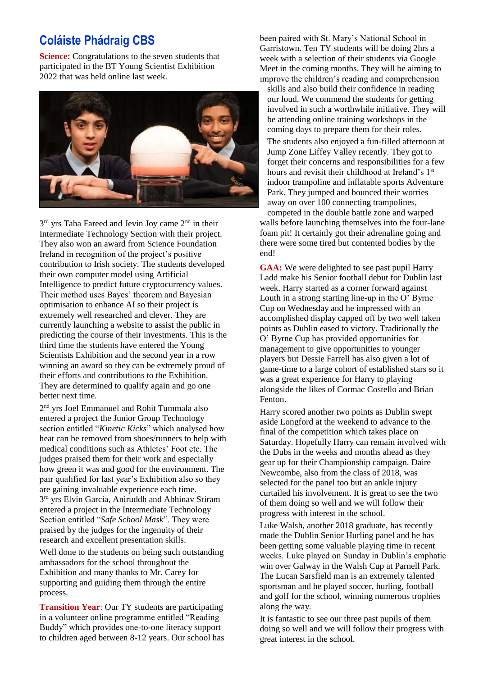### **Coláiste Phádraig CBS**

**Science:** Congratulations to the seven students that participated in the BT Young Scientist Exhibition 2022 that was held online last week.



3<sup>rd</sup> yrs Taha Fareed and Jevin Joy came 2<sup>nd</sup> in their Intermediate Technology Section with their project. They also won an award from Science Foundation Ireland in recognition of the project's positive contribution to Irish society. The students developed their own computer model using Artificial Intelligence to predict future cryptocurrency values. Their method uses Bayes' theorem and Bayesian optimisation to enhance AI so their project is extremely well researched and clever. They are currently launching a website to assist the public in predicting the course of their investments. This is the third time the students have entered the Young Scientists Exhibition and the second year in a row winning an award so they can be extremely proud of their efforts and contributions to the Exhibition. They are determined to qualify again and go one better next time.

2 nd yrs Joel Emmanuel and Rohit Tummala also entered a project the Junior Group Technology section entitled "*Kinetic Kicks*" which analysed how heat can be removed from shoes/runners to help with medical conditions such as Athletes' Foot etc. The judges praised them for their work and especially how green it was and good for the environment. The pair qualified for last year's Exhibition also so they are gaining invaluable experience each time. 3 rd yrs Elvin Garcia, Aniruddh and Abhinav Sriram entered a project in the Intermediate Technology Section entitled "*Safe School Mask*". They were praised by the judges for the ingenuity of their research and excellent presentation skills.

Well done to the students on being such outstanding ambassadors for the school throughout the Exhibition and many thanks to Mr. Carey for supporting and guiding them through the entire process.

**Transition Year**: Our TY students are participating in a volunteer online programme entitled "Reading Buddy" which provides one-to-one literacy support to children aged between 8-12 years. Our school has been paired with St. Mary's National School in Garristown. Ten TY students will be doing 2hrs a week with a selection of their students via Google Meet in the coming months. They will be aiming to improve the children's reading and comprehension

skills and also build their confidence in reading our loud. We commend the students for getting involved in such a worthwhile initiative. They will be attending online training workshops in the coming days to prepare them for their roles.

The students also enjoyed a fun-filled afternoon at Jump Zone Liffey Valley recently. They got to forget their concerns and responsibilities for a few hours and revisit their childhood at Ireland's 1st indoor trampoline and inflatable sports Adventure Park. They jumped and bounced their worries away on over 100 connecting trampolines,

competed in the double battle zone and warped walls before launching themselves into the four-lane foam pit! It certainly got their adrenaline going and there were some tired but contented bodies by the end!

**GAA:** We were delighted to see past pupil Harry Ladd make his Senior football debut for Dublin last week. Harry started as a corner forward against Louth in a strong starting line-up in the O' Byrne Cup on Wednesday and he impressed with an accomplished display capped off by two well taken points as Dublin eased to victory. Traditionally the O' Byrne Cup has provided opportunities for management to give opportunities to younger players but Dessie Farrell has also given a lot of game-time to a large cohort of established stars so it was a great experience for Harry to playing alongside the likes of Cormac Costello and Brian Fenton.

Harry scored another two points as Dublin swept aside Longford at the weekend to advance to the final of the competition which takes place on Saturday. Hopefully Harry can remain involved with the Dubs in the weeks and months ahead as they gear up for their Championship campaign. Daire Newcombe, also from the class of 2018, was selected for the panel too but an ankle injury curtailed his involvement. It is great to see the two of them doing so well and we will follow their progress with interest in the school.

Luke Walsh, another 2018 graduate, has recently made the Dublin Senior Hurling panel and he has been getting some valuable playing time in recent weeks. Luke played on Sunday in Dublin's emphatic win over Galway in the Walsh Cup at Parnell Park. The Lucan Sarsfield man is an extremely talented sportsman and he played soccer, hurling, football and golf for the school, winning numerous trophies along the way.

It is fantastic to see our three past pupils of them doing so well and we will follow their progress with great interest in the school.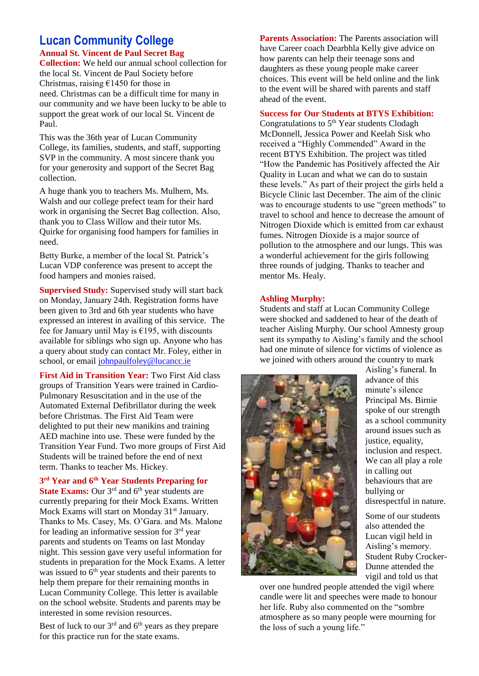# **Lucan Community College**

**Annual St. Vincent de Paul Secret Bag Collection:** We held our annual school collection for the local St. Vincent de Paul Society before Christmas, raising  $£1450$  for those in need. Christmas can be a difficult time for many in our community and we have been lucky to be able to support the great work of our local St. Vincent de Paul.

This was the 36th year of Lucan Community College, its families, students, and staff, supporting SVP in the community. A most sincere thank you for your generosity and support of the Secret Bag collection.

A huge thank you to teachers Ms. Mulhern, Ms. Walsh and our college prefect team for their hard work in organising the Secret Bag collection. Also, thank you to Class Willow and their tutor Ms. Quirke for organising food hampers for families in need.

Betty Burke, a member of the local St. Patrick's Lucan VDP conference was present to accept the food hampers and monies raised.

**Supervised Study:** Supervised study will start back on Monday, January 24th. Registration forms have been given to 3rd and 6th year students who have expressed an interest in availing of this service. The fee for January until May is  $£195$ , with discounts available for siblings who sign up. Anyone who has a query about study can contact Mr. Foley, either in school, or email [johnpaulfoley@lucancc.ie](mailto:johnpaulfoley@lucancc.ie)

**First Aid in Transition Year:** Two First Aid class groups of Transition Years were trained in Cardio-Pulmonary Resuscitation and in the use of the Automated External Defibrillator during the week before Christmas. The First Aid Team were delighted to put their new manikins and training AED machine into use. These were funded by the Transition Year Fund. Two more groups of First Aid Students will be trained before the end of next term. Thanks to teacher Ms. Hickey.

**3 rd Year and 6th Year Students Preparing for** 

**State Exams:** Our 3<sup>rd</sup> and 6<sup>th</sup> year students are currently preparing for their Mock Exams. Written Mock Exams will start on Monday 31<sup>st</sup> January. Thanks to Ms. Casey, Ms. O'Gara. and Ms. Malone for leading an informative session for  $3<sup>rd</sup>$  year parents and students on Teams on last Monday night. This session gave very useful information for students in preparation for the Mock Exams. A letter was issued to 6<sup>th</sup> year students and their parents to help them prepare for their remaining months in Lucan Community College. This letter is available on the school website. Students and parents may be interested in some revision resources.

Best of luck to our  $3^{rd}$  and  $6^{th}$  years as they prepare for this practice run for the state exams.

**Parents Association:** The Parents association will have Career coach Dearbhla Kelly give advice on how parents can help their teenage sons and daughters as these young people make career choices. This event will be held online and the link to the event will be shared with parents and staff ahead of the event.

#### **Success for Our Students at BTYS Exhibition:**

Congratulations to  $5<sup>th</sup>$  Year students Clodagh McDonnell, Jessica Power and Keelah Sisk who received a "Highly Commended" Award in the recent BTYS Exhibition. The project was titled "How the Pandemic has Positively affected the Air Quality in Lucan and what we can do to sustain these levels." As part of their project the girls held a Bicycle Clinic last December. The aim of the clinic was to encourage students to use "green methods" to travel to school and hence to decrease the amount of Nitrogen Dioxide which is emitted from car exhaust fumes. Nitrogen Dioxide is a major source of pollution to the atmosphere and our lungs. This was a wonderful achievement for the girls following three rounds of judging. Thanks to teacher and mentor Ms. Healy.

#### **Ashling Murphy:**

Students and staff at Lucan Community College were shocked and saddened to hear of the death of teacher Aisling Murphy. Our school Amnesty group sent its sympathy to Aisling's family and the school had one minute of silence for victims of violence as we joined with others around the country to mark



Aisling's funeral. In advance of this minute's silence Principal Ms. Birnie spoke of our strength as a school community around issues such as justice, equality, inclusion and respect. We can all play a role in calling out behaviours that are bullying or disrespectful in nature.

Some of our students also attended the Lucan vigil held in Aisling's memory. Student Ruby Crocker-Dunne attended the vigil and told us that

over one hundred people attended the vigil where candle were lit and speeches were made to honour her life. Ruby also commented on the "sombre atmosphere as so many people were mourning for the loss of such a young life."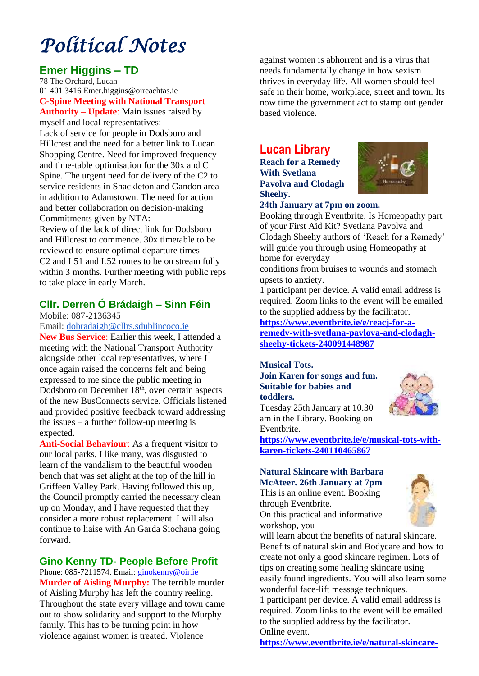# *Political Notes*

### **Emer Higgins – TD**

78 The Orchard, Lucan [01 401 3416](tel:014013416) [Emer.higgins@oireachtas.ie](mailto:Emer.higgins@oireachtas.ie) **C-Spine Meeting with National Transport Authority – Update**: Main issues raised by

myself and local representatives: Lack of service for people in Dodsboro and Hillcrest and the need for a better link to Lucan Shopping Centre. Need for improved frequency and time-table optimisation for the 30x and C Spine. The urgent need for delivery of the C2 to service residents in Shackleton and Gandon area in addition to Adamstown. The need for action and better collaboration on decision-making Commitments given by NTA:

Review of the lack of direct link for Dodsboro and Hillcrest to commence. 30x timetable to be reviewed to ensure optimal departure times C2 and L51 and L52 routes to be on stream fully within 3 months. Further meeting with public reps to take place in early March.

### **Cllr. Derren Ó Brádaigh – Sinn Féin**

Mobile: 087-2136345

Email: [dobradaigh@cllrs.sdublincoco.ie](mailto:dobradaigh@cllrs.sdublincoco.ie)

**New Bus Service**: Earlier this week, I attended a meeting with the National Transport Authority alongside other local representatives, where I once again raised the concerns felt and being expressed to me since the public meeting in Dodsboro on December  $18<sup>th</sup>$ , over certain aspects of the new BusConnects service. Officials listened and provided positive feedback toward addressing the issues  $-$  a further follow-up meeting is expected.

**Anti-Social Behaviour**: As a frequent visitor to our local parks, I like many, was disgusted to learn of the vandalism to the beautiful wooden bench that was set alight at the top of the hill in Griffeen Valley Park. Having followed this up, the Council promptly carried the necessary clean up on Monday, and I have requested that they consider a more robust replacement. I will also continue to liaise with An Garda Siochana going forward.

### **Gino Kenny TD- People Before Profit**

Phone: 085-7211574. Email[: ginokenny@oir.ie](mailto:ginokenny@oir.ie) **Murder of Aisling Murphy:** The terrible murder of Aisling Murphy has left the country reeling. Throughout the state every village and town came out to show solidarity and support to the Murphy family. This has to be turning point in how violence against women is treated. Violence

against women is abhorrent and is a virus that needs fundamentally change in how sexism thrives in everyday life. All women should feel safe in their home, workplace, street and town. Its now time the government act to stamp out gender based violence.

### **Lucan Library**

**Reach for a Remedy With Svetlana Pavolva and Clodagh Sheehy.**



### **24th January at 7pm on zoom.**

Booking through Eventbrite. Is Homeopathy part of your First Aid Kit? Svetlana Pavolva and Clodagh Sheehy authors of 'Reach for a Remedy' will guide you through using Homeopathy at home for everyday

conditions from bruises to wounds and stomach upsets to anxiety.

1 participant per device. A valid email address is required. Zoom links to the event will be emailed to the supplied address by the facilitator.

**[https://www.eventbrite.ie/e/reacj-for-a](https://www.eventbrite.ie/e/reacj-for-a-remedy-with-svetlana-pavlova-and-clodagh-sheehy-tickets-240091448987)[remedy-with-svetlana-pavlova-and-clodagh](https://www.eventbrite.ie/e/reacj-for-a-remedy-with-svetlana-pavlova-and-clodagh-sheehy-tickets-240091448987)[sheehy-tickets-240091448987](https://www.eventbrite.ie/e/reacj-for-a-remedy-with-svetlana-pavlova-and-clodagh-sheehy-tickets-240091448987)**

#### **Musical Tots. Join Karen for songs and fun. Suitable for babies and toddlers.**



Tuesday 25th January at 10.30 am in the Library. Booking on Eventbrite.

**[https://www.eventbrite.ie/e/musical-tots-with](https://www.eventbrite.ie/e/musical-tots-with-karen-tickets-240110465867)[karen-tickets-240110465867](https://www.eventbrite.ie/e/musical-tots-with-karen-tickets-240110465867)**

### **Natural Skincare with Barbara McAteer. 26th January at 7pm**

This is an online event. Booking through Eventbrite.

On this practical and informative workshop, you

will learn about the benefits of natural skincare. Benefits of natural skin and Bodycare and how to create not only a good skincare regimen. Lots of tips on creating some healing skincare using easily found ingredients. You will also learn some wonderful face-lift message techniques. 1 participant per device. A valid email address is required. Zoom links to the event will be emailed to the supplied address by the facilitator.

Online event.

**<https://www.eventbrite.ie/e/natural-skincare->**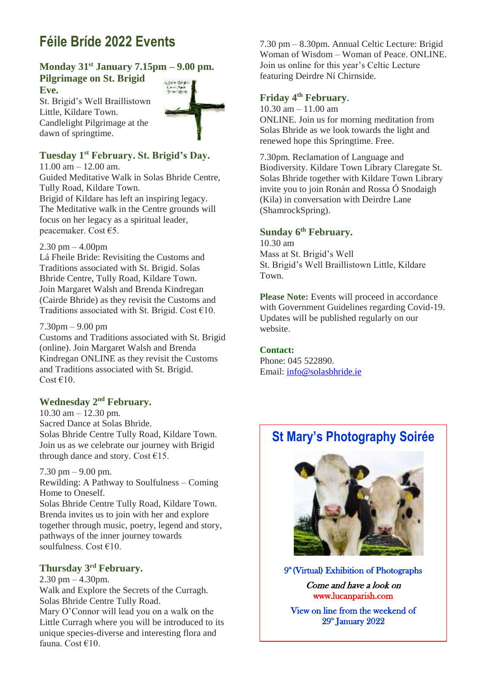# **Féile Bríde 2022 Events**

### **Monday 31st January 7.15pm – 9.00 pm. Pilgrimage on St. Brigid**

**Eve.** 

St. Brigid's Well Braillistown Little, Kildare Town. Candlelight Pilgrimage at the dawn of springtime.



### **Tuesday 1st February. St. Brigid's Day.**

11.00 am – 12.00 am. Guided Meditative Walk in Solas Bhride Centre, Tully Road, Kildare Town. Brigid of Kildare has left an inspiring legacy. The Meditative walk in the Centre grounds will focus on her legacy as a spiritual leader, peacemaker. Cost €5.

### $2.30$  pm  $-4.00$ pm

Lá Fheile Bride: Revisiting the Customs and Traditions associated with St. Brigid. Solas Bhride Centre, Tully Road, Kildare Town. Join Margaret Walsh and Brenda Kindregan (Cairde Bhride) as they revisit the Customs and Traditions associated with St. Brigid. Cost  $\epsilon$ 10.

### 7.30pm – 9.00 pm

Customs and Traditions associated with St. Brigid (online). Join Margaret Walsh and Brenda Kindregan ONLINE as they revisit the Customs and Traditions associated with St. Brigid. Cost  $€10$ .

### **Wednesday 2nd February.**

10.30 am – 12.30 pm. Sacred Dance at Solas Bhride. Solas Bhride Centre Tully Road, Kildare Town. Join us as we celebrate our journey with Brigid through dance and story. Cost €15.

7.30 pm – 9.00 pm.

Rewilding: A Pathway to Soulfulness – Coming Home to Oneself.

Solas Bhride Centre Tully Road, Kildare Town. Brenda invites us to join with her and explore together through music, poetry, legend and story, pathways of the inner journey towards soulfulness. Cost €10.

### **Thursday 3rd February.**

 $2.30$  pm  $-4.30$ pm. Walk and Explore the Secrets of the Curragh. Solas Bhride Centre Tully Road. Mary O'Connor will lead you on a walk on the Little Curragh where you will be introduced to its unique species-diverse and interesting flora and fauna. Cost €10.

7.30 pm – 8.30pm. Annual Celtic Lecture: Brigid Woman of Wisdom – Woman of Peace. ONLINE. Join us online for this year's Celtic Lecture featuring Deirdre Ní Chirnside.

### **Friday 4th February**.

 $10.30$  am  $- 11.00$  am ONLINE. Join us for morning meditation from Solas Bhride as we look towards the light and renewed hope this Springtime. Free.

7.30pm. Reclamation of Language and Biodiversity. Kildare Town Library Claregate St. Solas Bhride together with Kildare Town Library invite you to join Ronán and Rossa Ó Snodaigh (Kila) in conversation with Deirdre Lane (ShamrockSpring).

### **Sunday 6th February.**

10.30 am Mass at St. Brigid's Well St. Brigid's Well Braillistown Little, Kildare Town.

**Please Note:** Events will proceed in accordance with Government Guidelines regarding Covid-19. Updates will be published regularly on our website.

### **Contact:**

Phone: 045 522890. Email: [info@solasbhride.ie](mailto:info@solasbhride.ie)

### **St Mary's Photography Soirée**



9<sup>th</sup> (Virtual) Exhibition of Photographs Come and have a look on www.lucanparish.com

View on line from the weekend of 29<sup>\*</sup> January 2022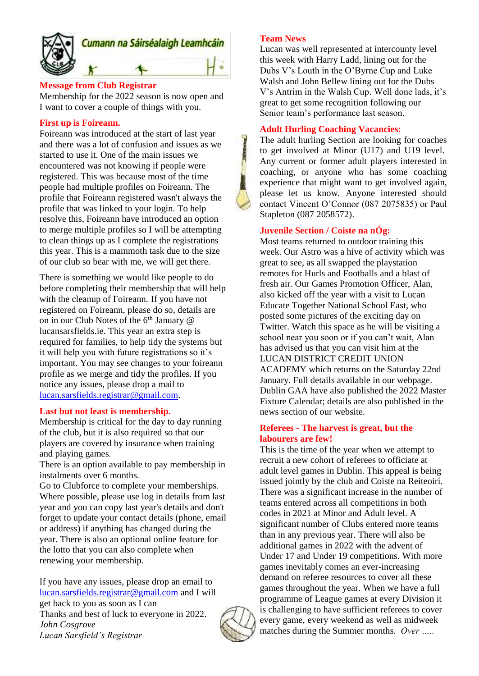

#### **Message from Club Registrar**

Membership for the 2022 season is now open and I want to cover a couple of things with you.

#### **First up is Foireann.**

Foireann was introduced at the start of last year and there was a lot of confusion and issues as we started to use it. One of the main issues we encountered was not knowing if people were registered. This was because most of the time people had multiple profiles on Foireann. The profile that Foireann registered wasn't always the profile that was linked to your login. To help resolve this, Foireann have introduced an option to merge multiple profiles so I will be attempting to clean things up as I complete the registrations this year. This is a mammoth task due to the size of our club so bear with me, we will get there.

There is something we would like people to do before completing their membership that will help with the cleanup of Foireann. If you have not registered on Foireann, please do so, details are on in our Club Notes of the  $6<sup>th</sup>$  January  $@$ lucansarsfields.ie. This year an extra step is required for families, to help tidy the systems but it will help you with future registrations so it's important. You may see changes to your foireann profile as we merge and tidy the profiles. If you notice any issues, please drop a mail to [lucan.sarsfields.registrar@gmail.com.](mailto:lucan.sarsfields.registrar@gmail.com)

#### **Last but not least is membership.**

Membership is critical for the day to day running of the club, but it is also required so that our players are covered by insurance when training and playing games.

There is an option available to pay membership in instalments over 6 months.

Go to Clubforce to complete your memberships. Where possible, please use log in details from last year and you can copy last year's details and don't forget to update your contact details (phone, email or address) if anything has changed during the year. There is also an optional online feature for the lotto that you can also complete when renewing your membership.

If you have any issues, please drop an email to [lucan.sarsfields.registrar@gmail.com](mailto:lucan.sarsfields.registrar@gmail.com) and I will get back to you as soon as I can Thanks and best of luck to everyone in 2022. *John Cosgrove Lucan Sarsfield's Registrar*

### **Team News**

Lucan was well represented at intercounty level this week with Harry Ladd, lining out for the Dubs V's Louth in the O'Byrne Cup and Luke Walsh and John Bellew lining out for the Dubs V's Antrim in the Walsh Cup. Well done lads, it's great to get some recognition following our Senior team's performance last season.

#### **Adult Hurling Coaching Vacancies:**

The adult hurling Section are looking for coaches to get involved at Minor (U17) and U19 level. Any current or former adult players interested in coaching, or anyone who has some coaching experience that might want to get involved again, please let us know. Anyone interested should contact Vincent O'Connor (087 2075835) or Paul Stapleton (087 2058572).

### **Juvenile Section / Coiste na nÓg:**

Most teams returned to outdoor training this week. Our Astro was a hive of activity which was great to see, as all swapped the playstation remotes for Hurls and Footballs and a blast of fresh air. Our Games Promotion Officer, Alan, also kicked off the year with a visit to Lucan Educate Together National School East, who posted some pictures of the exciting day on [Twitter.](https://twitter.com/lucaneastet/status/1480953206905749507?s=20) Watch this space as he will be visiting a school near you soon or if you can't wait, Alan has advised us that you can visit him at the LUCAN DISTRICT CREDIT UNION ACADEMY which returns on the Saturday 22nd January. Full details available in our webpage. Dublin GAA have also published the 2022 Master Fixture Calendar; details are also published in the news section of our website.

#### **Referees - The harvest is great, but the labourers are few!**

This is the time of the year when we attempt to recruit a new cohort of referees to officiate at adult level games in Dublin. This appeal is being issued jointly by the club and Coiste na Reiteoirí. There was a significant increase in the number of teams entered across all competitions in both codes in 2021 at Minor and Adult level. A significant number of Clubs entered more teams than in any previous year. There will also be additional games in 2022 with the advent of Under 17 and Under 19 competitions. With more games inevitably comes an ever-increasing demand on referee resources to cover all these games throughout the year. When we have a full programme of League games at every Division it is challenging to have sufficient referees to cover every game, every weekend as well as midweek matches during the Summer months. *Over …..*

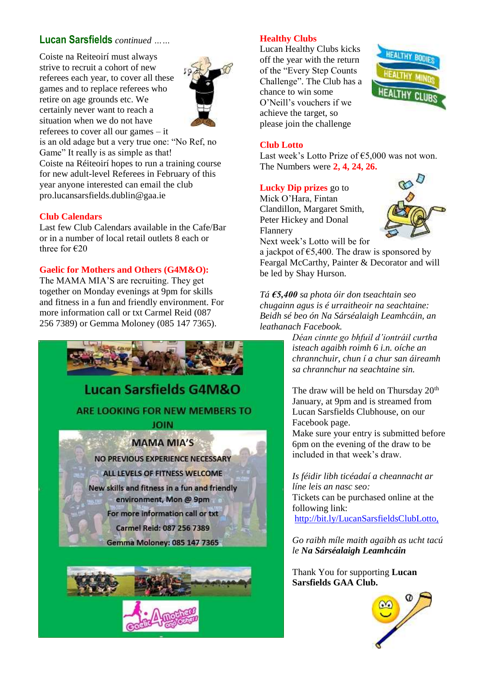### **Lucan Sarsfields** *continued ……*

Coiste na Reiteoirí must always strive to recruit a cohort of new referees each year, to cover all these games and to replace referees who retire on age grounds etc. We certainly never want to reach a situation when we do not have referees to cover all our games – it



is an old adage but a very true one: "No Ref, no Game" It really is as simple as that!

Coiste na Réiteoirí hopes to run a training course for new adult-level Referees in February of this year anyone interested can email the club [pro.lucansarsfields.dublin@gaa.ie](mailto:undefined%20[undefined:pro.lucansarsfields.dublin@gaa.ie])

### **Club Calendars**

Last few Club Calendars available in the Cafe/Bar or in a number of local retail outlets 8 each or three for €20

### **Gaelic for Mothers and Others (G4M&O):**

The MAMA MIA'S are recruiting. They get together on Monday evenings at 9pm for skills and fitness in a fun and friendly environment. For more information call or txt Carmel Reid (087 256 7389) or Gemma Moloney (085 147 7365).



### **Healthy Clubs**

Lucan Healthy Clubs kicks off the year with the return of the "Every Step Counts Challenge". The Club has a chance to win some O'Neill's vouchers if we achieve the target, so please join the challenge



### **Club Lotto**

Last week's Lotto Prize of €5,000 was not won. The Numbers were **2, 4, 24, 26.**

### **Lucky Dip prizes** go to

Mick O'Hara, Fintan Clandillon, Margaret Smith, Peter Hickey and Donal Flannery Next week's Lotto will be for



a jackpot of  $65,400$ . The draw is sponsored by Feargal McCarthy, Painter & Decorator and will be led by Shay Hurson.

*Tá €5,400 sa phota óir don tseachtain seo chugainn agus is é urraitheoir na seachtaine: Beidh sé beo ón Na Sárséalaigh Leamhcáin, an leathanach Facebook.*

*Déan cinnte go bhfuil d'iontráil curtha isteach agaibh roimh 6 i.n. oíche an chrannchuir, chun í a chur san áireamh sa chrannchur na seachtaine sin.*

The draw will be held on Thursday 20<sup>th</sup> January, at 9pm and is streamed from Lucan Sarsfields Clubhouse, on our Facebook page.

Make sure your entry is submitted before 6pm on the evening of the draw to be included in that week's draw.

*Is féidir libh ticéadaí a cheannacht ar líne leis an nasc seo:* Tickets can be purchased online at the following link: <http://bit.ly/LucanSarsfieldsClubLotto,>

*Go raibh míle maith agaibh as ucht tacú le Na Sárséalaigh Leamhcáin*

Thank You for supporting **Lucan Sarsfields GAA Club.**